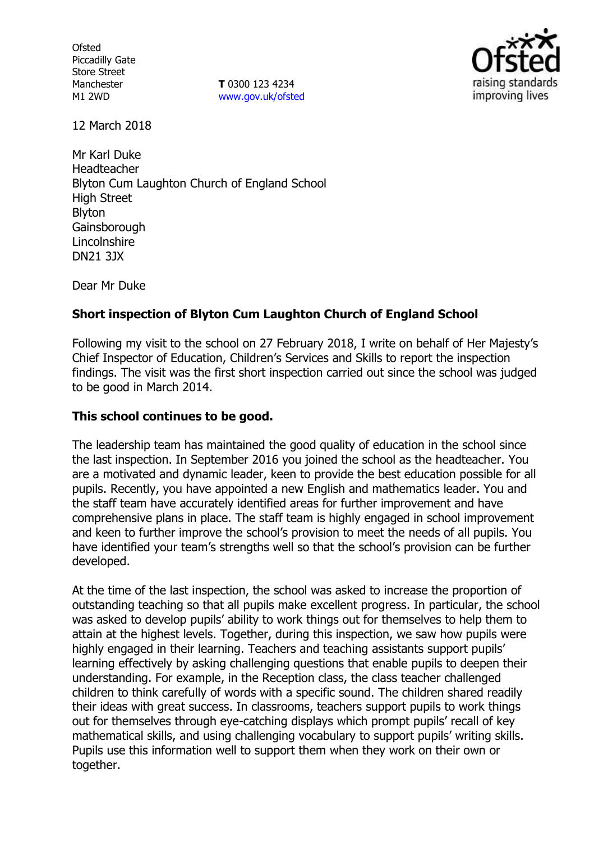**Ofsted** Piccadilly Gate Store Street Manchester M1 2WD

**T** 0300 123 4234 www.gov.uk/ofsted



12 March 2018

Mr Karl Duke Headteacher Blyton Cum Laughton Church of England School High Street Blyton **Gainsborough Lincolnshire** DN21 3JX

Dear Mr Duke

### **Short inspection of Blyton Cum Laughton Church of England School**

Following my visit to the school on 27 February 2018, I write on behalf of Her Majesty's Chief Inspector of Education, Children's Services and Skills to report the inspection findings. The visit was the first short inspection carried out since the school was judged to be good in March 2014.

### **This school continues to be good.**

The leadership team has maintained the good quality of education in the school since the last inspection. In September 2016 you joined the school as the headteacher. You are a motivated and dynamic leader, keen to provide the best education possible for all pupils. Recently, you have appointed a new English and mathematics leader. You and the staff team have accurately identified areas for further improvement and have comprehensive plans in place. The staff team is highly engaged in school improvement and keen to further improve the school's provision to meet the needs of all pupils. You have identified your team's strengths well so that the school's provision can be further developed.

At the time of the last inspection, the school was asked to increase the proportion of outstanding teaching so that all pupils make excellent progress. In particular, the school was asked to develop pupils' ability to work things out for themselves to help them to attain at the highest levels. Together, during this inspection, we saw how pupils were highly engaged in their learning. Teachers and teaching assistants support pupils' learning effectively by asking challenging questions that enable pupils to deepen their understanding. For example, in the Reception class, the class teacher challenged children to think carefully of words with a specific sound. The children shared readily their ideas with great success. In classrooms, teachers support pupils to work things out for themselves through eye-catching displays which prompt pupils' recall of key mathematical skills, and using challenging vocabulary to support pupils' writing skills. Pupils use this information well to support them when they work on their own or together.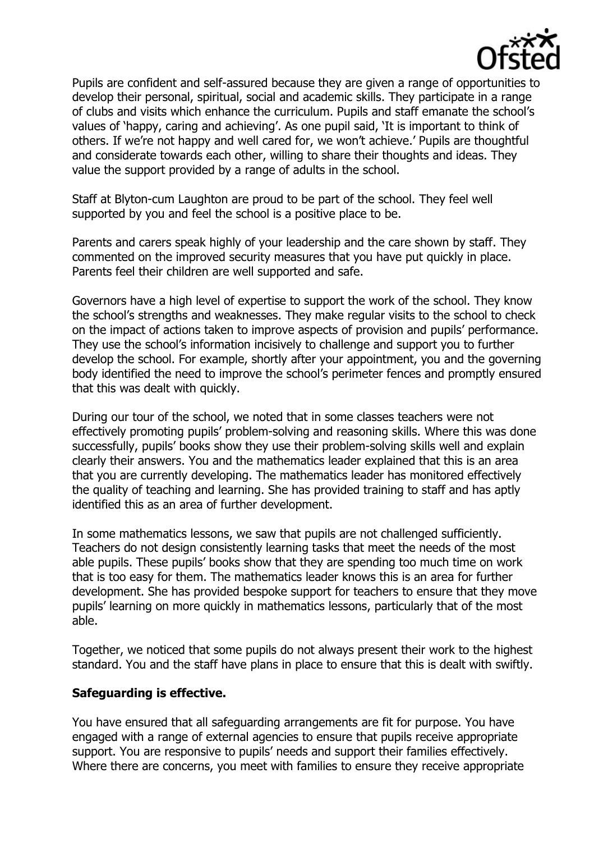

Pupils are confident and self-assured because they are given a range of opportunities to develop their personal, spiritual, social and academic skills. They participate in a range of clubs and visits which enhance the curriculum. Pupils and staff emanate the school's values of 'happy, caring and achieving'. As one pupil said, 'It is important to think of others. If we're not happy and well cared for, we won't achieve.' Pupils are thoughtful and considerate towards each other, willing to share their thoughts and ideas. They value the support provided by a range of adults in the school.

Staff at Blyton-cum Laughton are proud to be part of the school. They feel well supported by you and feel the school is a positive place to be.

Parents and carers speak highly of your leadership and the care shown by staff. They commented on the improved security measures that you have put quickly in place. Parents feel their children are well supported and safe.

Governors have a high level of expertise to support the work of the school. They know the school's strengths and weaknesses. They make regular visits to the school to check on the impact of actions taken to improve aspects of provision and pupils' performance. They use the school's information incisively to challenge and support you to further develop the school. For example, shortly after your appointment, you and the governing body identified the need to improve the school's perimeter fences and promptly ensured that this was dealt with quickly.

During our tour of the school, we noted that in some classes teachers were not effectively promoting pupils' problem-solving and reasoning skills. Where this was done successfully, pupils' books show they use their problem-solving skills well and explain clearly their answers. You and the mathematics leader explained that this is an area that you are currently developing. The mathematics leader has monitored effectively the quality of teaching and learning. She has provided training to staff and has aptly identified this as an area of further development.

In some mathematics lessons, we saw that pupils are not challenged sufficiently. Teachers do not design consistently learning tasks that meet the needs of the most able pupils. These pupils' books show that they are spending too much time on work that is too easy for them. The mathematics leader knows this is an area for further development. She has provided bespoke support for teachers to ensure that they move pupils' learning on more quickly in mathematics lessons, particularly that of the most able.

Together, we noticed that some pupils do not always present their work to the highest standard. You and the staff have plans in place to ensure that this is dealt with swiftly.

#### **Safeguarding is effective.**

You have ensured that all safeguarding arrangements are fit for purpose. You have engaged with a range of external agencies to ensure that pupils receive appropriate support. You are responsive to pupils' needs and support their families effectively. Where there are concerns, you meet with families to ensure they receive appropriate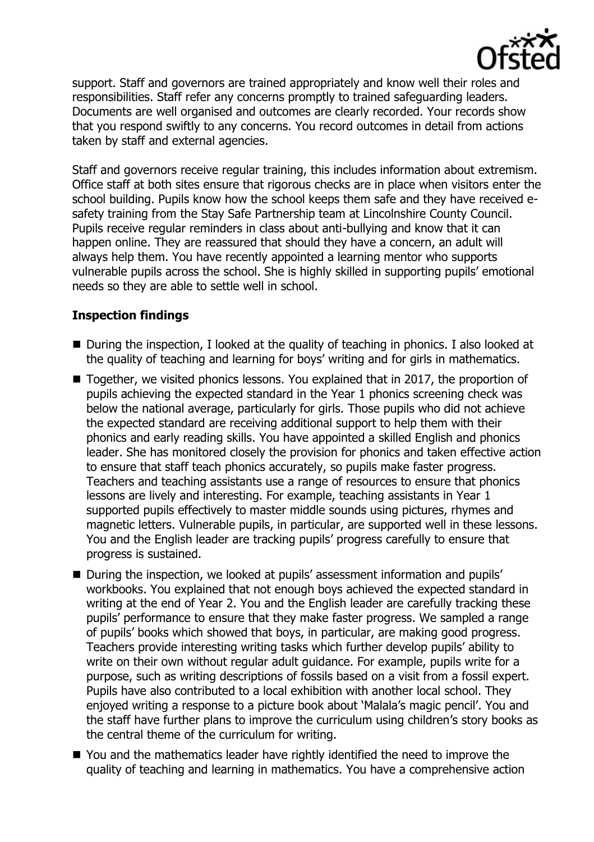

support. Staff and governors are trained appropriately and know well their roles and responsibilities. Staff refer any concerns promptly to trained safeguarding leaders. Documents are well organised and outcomes are clearly recorded. Your records show that you respond swiftly to any concerns. You record outcomes in detail from actions taken by staff and external agencies.

Staff and governors receive regular training, this includes information about extremism. Office staff at both sites ensure that rigorous checks are in place when visitors enter the school building. Pupils know how the school keeps them safe and they have received esafety training from the Stay Safe Partnership team at Lincolnshire County Council. Pupils receive regular reminders in class about anti-bullying and know that it can happen online. They are reassured that should they have a concern, an adult will always help them. You have recently appointed a learning mentor who supports vulnerable pupils across the school. She is highly skilled in supporting pupils' emotional needs so they are able to settle well in school.

# **Inspection findings**

- During the inspection, I looked at the quality of teaching in phonics. I also looked at the quality of teaching and learning for boys' writing and for girls in mathematics.
- Together, we visited phonics lessons. You explained that in 2017, the proportion of pupils achieving the expected standard in the Year 1 phonics screening check was below the national average, particularly for girls. Those pupils who did not achieve the expected standard are receiving additional support to help them with their phonics and early reading skills. You have appointed a skilled English and phonics leader. She has monitored closely the provision for phonics and taken effective action to ensure that staff teach phonics accurately, so pupils make faster progress. Teachers and teaching assistants use a range of resources to ensure that phonics lessons are lively and interesting. For example, teaching assistants in Year 1 supported pupils effectively to master middle sounds using pictures, rhymes and magnetic letters. Vulnerable pupils, in particular, are supported well in these lessons. You and the English leader are tracking pupils' progress carefully to ensure that progress is sustained.
- During the inspection, we looked at pupils' assessment information and pupils' workbooks. You explained that not enough boys achieved the expected standard in writing at the end of Year 2. You and the English leader are carefully tracking these pupils' performance to ensure that they make faster progress. We sampled a range of pupils' books which showed that boys, in particular, are making good progress. Teachers provide interesting writing tasks which further develop pupils' ability to write on their own without regular adult guidance. For example, pupils write for a purpose, such as writing descriptions of fossils based on a visit from a fossil expert. Pupils have also contributed to a local exhibition with another local school. They enjoyed writing a response to a picture book about 'Malala's magic pencil'. You and the staff have further plans to improve the curriculum using children's story books as the central theme of the curriculum for writing.
- You and the mathematics leader have rightly identified the need to improve the quality of teaching and learning in mathematics. You have a comprehensive action